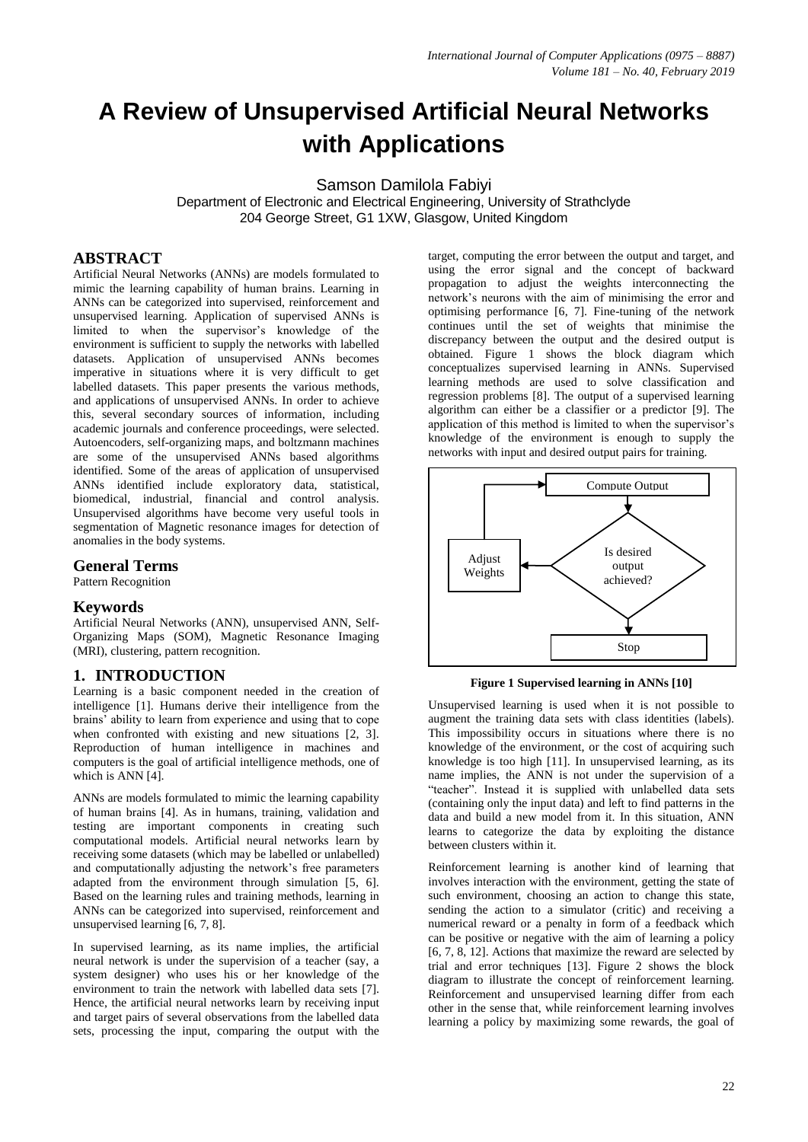# **A Review of Unsupervised Artificial Neural Networks with Applications**

Samson Damilola Fabiyi

Department of Electronic and Electrical Engineering, University of Strathclyde 204 George Street, G1 1XW, Glasgow, United Kingdom

## **ABSTRACT**

Artificial Neural Networks (ANNs) are models formulated to mimic the learning capability of human brains. Learning in ANNs can be categorized into supervised, reinforcement and unsupervised learning. Application of supervised ANNs is limited to when the supervisor's knowledge of the environment is sufficient to supply the networks with labelled datasets. Application of unsupervised ANNs becomes imperative in situations where it is very difficult to get labelled datasets. This paper presents the various methods, and applications of unsupervised ANNs. In order to achieve this, several secondary sources of information, including academic journals and conference proceedings, were selected. Autoencoders, self-organizing maps, and boltzmann machines are some of the unsupervised ANNs based algorithms identified. Some of the areas of application of unsupervised ANNs identified include exploratory data, statistical, biomedical, industrial, financial and control analysis. Unsupervised algorithms have become very useful tools in segmentation of Magnetic resonance images for detection of anomalies in the body systems.

## **General Terms**

Pattern Recognition

## **Keywords**

Artificial Neural Networks (ANN), unsupervised ANN, Self-Organizing Maps (SOM), Magnetic Resonance Imaging (MRI), clustering, pattern recognition.

## **1. INTRODUCTION**

Learning is a basic component needed in the creation of intelligence [1]. Humans derive their intelligence from the brains' ability to learn from experience and using that to cope when confronted with existing and new situations [2, 3]. Reproduction of human intelligence in machines and computers is the goal of artificial intelligence methods, one of which is ANN [4].

ANNs are models formulated to mimic the learning capability of human brains [4]. As in humans, training, validation and testing are important components in creating such computational models. Artificial neural networks learn by receiving some datasets (which may be labelled or unlabelled) and computationally adjusting the network's free parameters adapted from the environment through simulation [5, 6]. Based on the learning rules and training methods, learning in ANNs can be categorized into supervised, reinforcement and unsupervised learning [6, 7, 8].

In supervised learning, as its name implies, the artificial neural network is under the supervision of a teacher (say, a system designer) who uses his or her knowledge of the environment to train the network with labelled data sets [7]. Hence, the artificial neural networks learn by receiving input and target pairs of several observations from the labelled data sets, processing the input, comparing the output with the

target, computing the error between the output and target, and using the error signal and the concept of backward propagation to adjust the weights interconnecting the network's neurons with the aim of minimising the error and optimising performance [6, 7]. Fine-tuning of the network continues until the set of weights that minimise the discrepancy between the output and the desired output is obtained. Figure 1 shows the block diagram which conceptualizes supervised learning in ANNs. Supervised learning methods are used to solve classification and regression problems [8]. The output of a supervised learning algorithm can either be a classifier or a predictor [9]. The application of this method is limited to when the supervisor's knowledge of the environment is enough to supply the networks with input and desired output pairs for training.



**Figure 1 Supervised learning in ANNs [10]**

Unsupervised learning is used when it is not possible to augment the training data sets with class identities (labels). This impossibility occurs in situations where there is no knowledge of the environment, or the cost of acquiring such knowledge is too high [11]. In unsupervised learning, as its name implies, the ANN is not under the supervision of a "teacher". Instead it is supplied with unlabelled data sets (containing only the input data) and left to find patterns in the data and build a new model from it. In this situation, ANN learns to categorize the data by exploiting the distance between clusters within it.

Reinforcement learning is another kind of learning that involves interaction with the environment, getting the state of such environment, choosing an action to change this state, sending the action to a simulator (critic) and receiving a numerical reward or a penalty in form of a feedback which can be positive or negative with the aim of learning a policy [6, 7, 8, 12]. Actions that maximize the reward are selected by trial and error techniques [13]. Figure 2 shows the block diagram to illustrate the concept of reinforcement learning. Reinforcement and unsupervised learning differ from each other in the sense that, while reinforcement learning involves learning a policy by maximizing some rewards, the goal of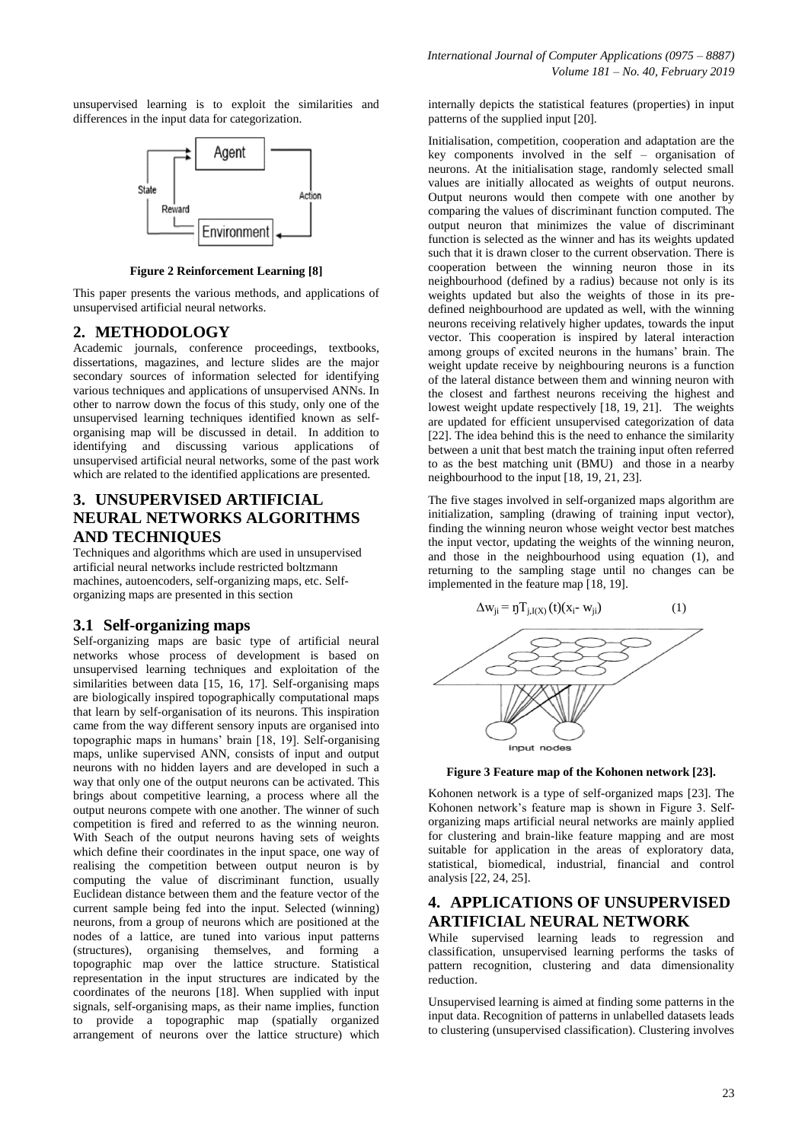unsupervised learning is to exploit the similarities and differences in the input data for categorization.



**Figure 2 Reinforcement Learning [8]**

This paper presents the various methods, and applications of unsupervised artificial neural networks.

## **2. METHODOLOGY**

Academic journals, conference proceedings, textbooks, dissertations, magazines, and lecture slides are the major secondary sources of information selected for identifying various techniques and applications of unsupervised ANNs. In other to narrow down the focus of this study, only one of the unsupervised learning techniques identified known as selforganising map will be discussed in detail. In addition to identifying and discussing various applications of unsupervised artificial neural networks, some of the past work which are related to the identified applications are presented.

## **3. UNSUPERVISED ARTIFICIAL NEURAL NETWORKS ALGORITHMS AND TECHNIQUES**

Techniques and algorithms which are used in unsupervised artificial neural networks include restricted boltzmann machines, autoencoders, self-organizing maps, etc. Selforganizing maps are presented in this section

## **3.1 Self-organizing maps**

Self-organizing maps are basic type of artificial neural networks whose process of development is based on unsupervised learning techniques and exploitation of the similarities between data [15, 16, 17]. Self-organising maps are biologically inspired topographically computational maps that learn by self-organisation of its neurons. This inspiration came from the way different sensory inputs are organised into topographic maps in humans' brain [18, 19]. Self-organising maps, unlike supervised ANN, consists of input and output neurons with no hidden layers and are developed in such a way that only one of the output neurons can be activated. This brings about competitive learning, a process where all the output neurons compete with one another. The winner of such competition is fired and referred to as the winning neuron. With Seach of the output neurons having sets of weights which define their coordinates in the input space, one way of realising the competition between output neuron is by computing the value of discriminant function, usually Euclidean distance between them and the feature vector of the current sample being fed into the input. Selected (winning) neurons, from a group of neurons which are positioned at the nodes of a lattice, are tuned into various input patterns (structures), organising themselves, and forming a topographic map over the lattice structure. Statistical representation in the input structures are indicated by the coordinates of the neurons [18]. When supplied with input signals, self-organising maps, as their name implies, function to provide a topographic map (spatially organized arrangement of neurons over the lattice structure) which

internally depicts the statistical features (properties) in input patterns of the supplied input [20].

Initialisation, competition, cooperation and adaptation are the key components involved in the self – organisation of neurons. At the initialisation stage, randomly selected small values are initially allocated as weights of output neurons. Output neurons would then compete with one another by comparing the values of discriminant function computed. The output neuron that minimizes the value of discriminant function is selected as the winner and has its weights updated such that it is drawn closer to the current observation. There is cooperation between the winning neuron those in its neighbourhood (defined by a radius) because not only is its weights updated but also the weights of those in its predefined neighbourhood are updated as well, with the winning neurons receiving relatively higher updates, towards the input vector. This cooperation is inspired by lateral interaction among groups of excited neurons in the humans' brain. The weight update receive by neighbouring neurons is a function of the lateral distance between them and winning neuron with the closest and farthest neurons receiving the highest and lowest weight update respectively [18, 19, 21]. The weights are updated for efficient unsupervised categorization of data [22]. The idea behind this is the need to enhance the similarity between a unit that best match the training input often referred to as the best matching unit (BMU) and those in a nearby neighbourhood to the input [18, 19, 21, 23].

The five stages involved in self-organized maps algorithm are initialization, sampling (drawing of training input vector), finding the winning neuron whose weight vector best matches the input vector, updating the weights of the winning neuron, and those in the neighbourhood using equation (1), and returning to the sampling stage until no changes can be implemented in the feature map [18, 19].



**Figure 3 Feature map of the Kohonen network [23].**

Kohonen network is a type of self-organized maps [23]. The Kohonen network's feature map is shown in Figure 3. Selforganizing maps artificial neural networks are mainly applied for clustering and brain-like feature mapping and are most suitable for application in the areas of exploratory data, statistical, biomedical, industrial, financial and control analysis [22, 24, 25].

## **4. APPLICATIONS OF UNSUPERVISED ARTIFICIAL NEURAL NETWORK**

While supervised learning leads to regression and classification, unsupervised learning performs the tasks of pattern recognition, clustering and data dimensionality reduction.

Unsupervised learning is aimed at finding some patterns in the input data. Recognition of patterns in unlabelled datasets leads to clustering (unsupervised classification). Clustering involves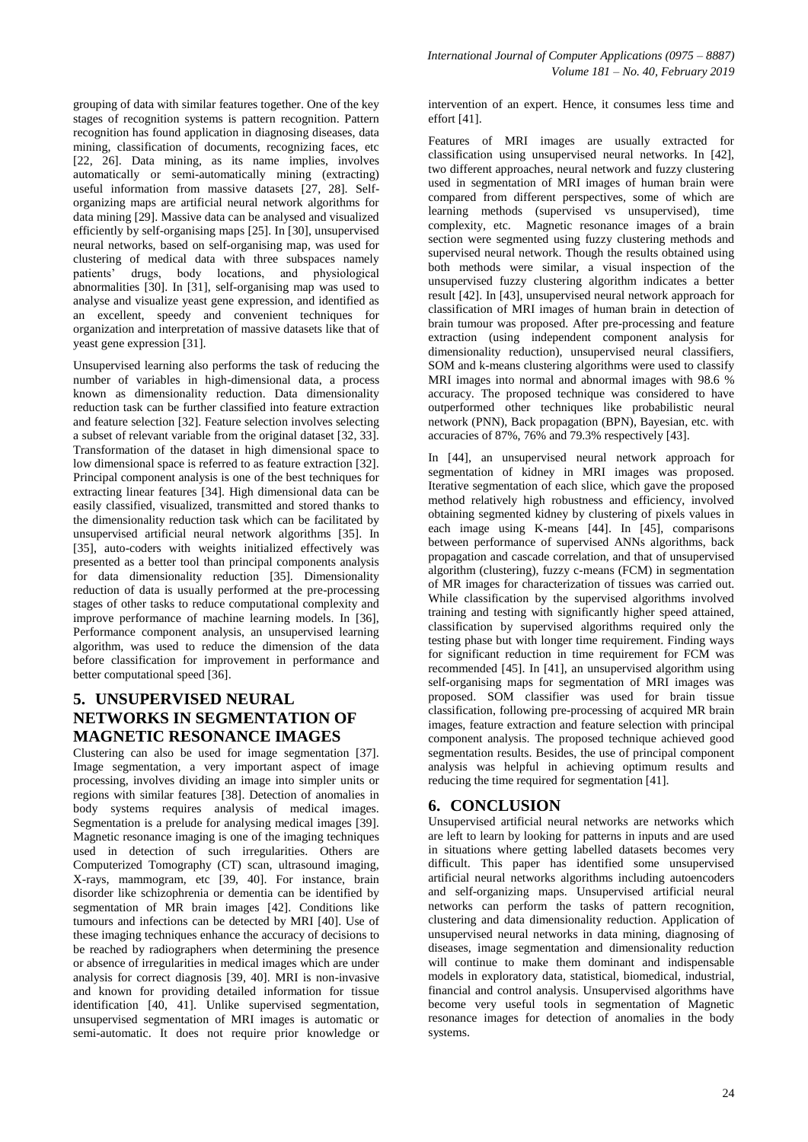grouping of data with similar features together. One of the key stages of recognition systems is pattern recognition. Pattern recognition has found application in diagnosing diseases, data mining, classification of documents, recognizing faces, etc [22, 26]. Data mining, as its name implies, involves automatically or semi-automatically mining (extracting) useful information from massive datasets [27, 28]. Selforganizing maps are artificial neural network algorithms for data mining [29]. Massive data can be analysed and visualized efficiently by self-organising maps [25]. In [30], unsupervised neural networks, based on self-organising map, was used for clustering of medical data with three subspaces namely patients' drugs, body locations, and physiological abnormalities [30]. In [31], self-organising map was used to analyse and visualize yeast gene expression, and identified as an excellent, speedy and convenient techniques for organization and interpretation of massive datasets like that of yeast gene expression [31].

Unsupervised learning also performs the task of reducing the number of variables in high-dimensional data, a process known as dimensionality reduction. Data dimensionality reduction task can be further classified into feature extraction and feature selection [32]. Feature selection involves selecting a subset of relevant variable from the original dataset [32, 33]. Transformation of the dataset in high dimensional space to low dimensional space is referred to as feature extraction [32]. Principal component analysis is one of the best techniques for extracting linear features [34]. High dimensional data can be easily classified, visualized, transmitted and stored thanks to the dimensionality reduction task which can be facilitated by unsupervised artificial neural network algorithms [35]. In [35], auto-coders with weights initialized effectively was presented as a better tool than principal components analysis for data dimensionality reduction [35]. Dimensionality reduction of data is usually performed at the pre-processing stages of other tasks to reduce computational complexity and improve performance of machine learning models. In [36], Performance component analysis, an unsupervised learning algorithm, was used to reduce the dimension of the data before classification for improvement in performance and better computational speed [36].

## **5. UNSUPERVISED NEURAL NETWORKS IN SEGMENTATION OF MAGNETIC RESONANCE IMAGES**

Clustering can also be used for image segmentation [37]. Image segmentation, a very important aspect of image processing, involves dividing an image into simpler units or regions with similar features [38]. Detection of anomalies in body systems requires analysis of medical images. Segmentation is a prelude for analysing medical images [39]. Magnetic resonance imaging is one of the imaging techniques used in detection of such irregularities. Others are Computerized Tomography (CT) scan, ultrasound imaging, X-rays, mammogram, etc [39, 40]. For instance, brain disorder like schizophrenia or dementia can be identified by segmentation of MR brain images [42]. Conditions like tumours and infections can be detected by MRI [40]. Use of these imaging techniques enhance the accuracy of decisions to be reached by radiographers when determining the presence or absence of irregularities in medical images which are under analysis for correct diagnosis [39, 40]. MRI is non-invasive and known for providing detailed information for tissue identification [40, 41]. Unlike supervised segmentation, unsupervised segmentation of MRI images is automatic or semi-automatic. It does not require prior knowledge or intervention of an expert. Hence, it consumes less time and effort [41].

Features of MRI images are usually extracted for classification using unsupervised neural networks. In [42], two different approaches, neural network and fuzzy clustering used in segmentation of MRI images of human brain were compared from different perspectives, some of which are learning methods (supervised vs unsupervised), time complexity, etc. Magnetic resonance images of a brain section were segmented using fuzzy clustering methods and supervised neural network. Though the results obtained using both methods were similar, a visual inspection of the unsupervised fuzzy clustering algorithm indicates a better result [42]. In [43], unsupervised neural network approach for classification of MRI images of human brain in detection of brain tumour was proposed. After pre-processing and feature extraction (using independent component analysis for dimensionality reduction), unsupervised neural classifiers, SOM and k-means clustering algorithms were used to classify MRI images into normal and abnormal images with 98.6 % accuracy. The proposed technique was considered to have outperformed other techniques like probabilistic neural network (PNN), Back propagation (BPN), Bayesian, etc. with accuracies of 87%, 76% and 79.3% respectively [43].

In [44], an unsupervised neural network approach for segmentation of kidney in MRI images was proposed. Iterative segmentation of each slice, which gave the proposed method relatively high robustness and efficiency, involved obtaining segmented kidney by clustering of pixels values in each image using K-means [44]. In [45], comparisons between performance of supervised ANNs algorithms, back propagation and cascade correlation, and that of unsupervised algorithm (clustering), fuzzy c-means (FCM) in segmentation of MR images for characterization of tissues was carried out. While classification by the supervised algorithms involved training and testing with significantly higher speed attained, classification by supervised algorithms required only the testing phase but with longer time requirement. Finding ways for significant reduction in time requirement for FCM was recommended [45]. In [41], an unsupervised algorithm using self-organising maps for segmentation of MRI images was proposed. SOM classifier was used for brain tissue classification, following pre-processing of acquired MR brain images, feature extraction and feature selection with principal component analysis. The proposed technique achieved good segmentation results. Besides, the use of principal component analysis was helpful in achieving optimum results and reducing the time required for segmentation [41].

## **6. CONCLUSION**

Unsupervised artificial neural networks are networks which are left to learn by looking for patterns in inputs and are used in situations where getting labelled datasets becomes very difficult. This paper has identified some unsupervised artificial neural networks algorithms including autoencoders and self-organizing maps. Unsupervised artificial neural networks can perform the tasks of pattern recognition, clustering and data dimensionality reduction. Application of unsupervised neural networks in data mining, diagnosing of diseases, image segmentation and dimensionality reduction will continue to make them dominant and indispensable models in exploratory data, statistical, biomedical, industrial, financial and control analysis. Unsupervised algorithms have become very useful tools in segmentation of Magnetic resonance images for detection of anomalies in the body systems.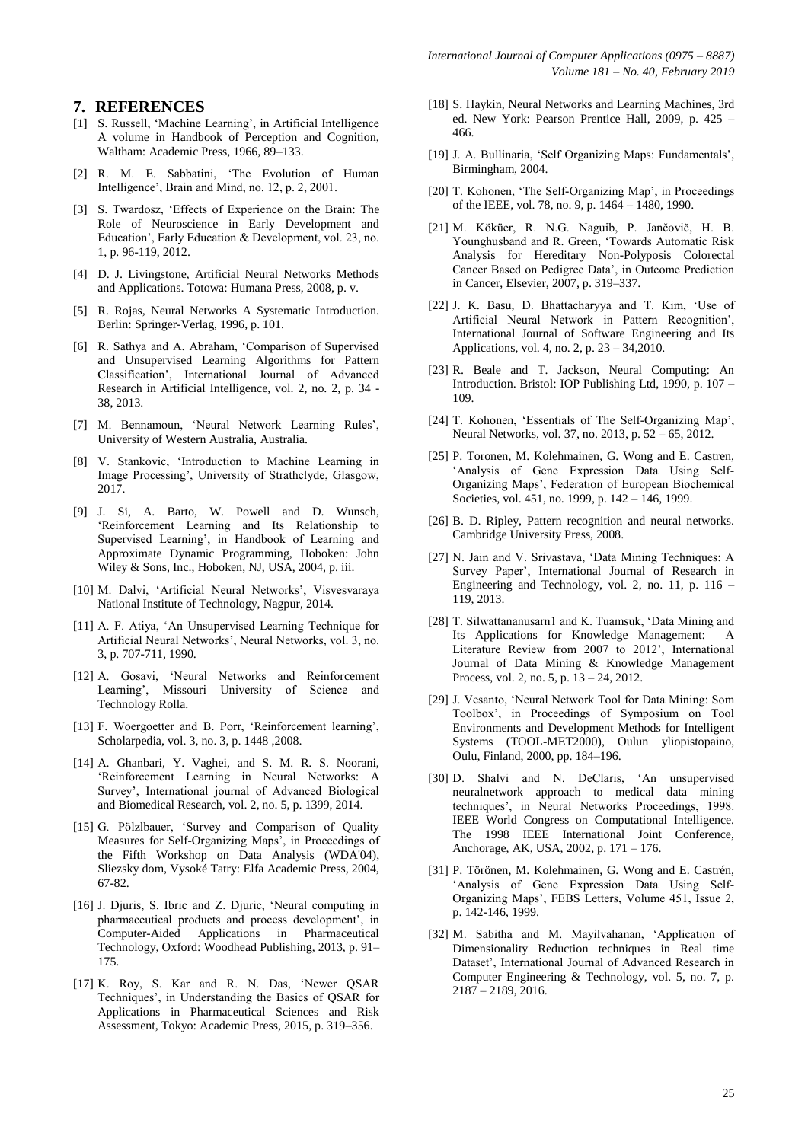#### **7. REFERENCES**

- [1] S. Russell, 'Machine Learning', in Artificial Intelligence A volume in Handbook of Perception and Cognition, Waltham: Academic Press, 1966, 89–133.
- [2] R. M. E. Sabbatini, 'The Evolution of Human Intelligence', Brain and Mind, no. 12, p. 2, 2001.
- [3] S. Twardosz, 'Effects of Experience on the Brain: The Role of Neuroscience in Early Development and Education', Early Education & Development, vol. 23, no. 1, p. 96-119, 2012.
- [4] D. J. Livingstone, Artificial Neural Networks Methods and Applications. Totowa: Humana Press, 2008, p. v.
- [5] R. Rojas, Neural Networks A Systematic Introduction. Berlin: Springer-Verlag, 1996, p. 101.
- [6] R. Sathya and A. Abraham, 'Comparison of Supervised and Unsupervised Learning Algorithms for Pattern Classification', International Journal of Advanced Research in Artificial Intelligence, vol. 2, no. 2, p. 34 - 38, 2013.
- [7] M. Bennamoun, 'Neural Network Learning Rules', University of Western Australia, Australia.
- [8] V. Stankovic, 'Introduction to Machine Learning in Image Processing', University of Strathclyde, Glasgow, 2017.
- [9] J. Si, A. Barto, W. Powell and D. Wunsch, 'Reinforcement Learning and Its Relationship to Supervised Learning', in Handbook of Learning and Approximate Dynamic Programming, Hoboken: John Wiley & Sons, Inc., Hoboken, NJ, USA, 2004, p. iii.
- [10] M. Dalvi, 'Artificial Neural Networks', Visvesvaraya National Institute of Technology, Nagpur, 2014.
- [11] A. F. Atiya, 'An Unsupervised Learning Technique for Artificial Neural Networks', Neural Networks, vol. 3, no. 3, p. 707-711, 1990.
- [12] A. Gosavi, 'Neural Networks and Reinforcement Learning', Missouri University of Science and Technology Rolla.
- [13] F. Woergoetter and B. Porr, 'Reinforcement learning', Scholarpedia, vol. 3, no. 3, p. 1448 ,2008.
- [14] A. Ghanbari, Y. Vaghei, and S. M. R. S. Noorani, 'Reinforcement Learning in Neural Networks: A Survey', International journal of Advanced Biological and Biomedical Research, vol. 2, no. 5, p. 1399, 2014.
- [15] G. Pölzlbauer, 'Survey and Comparison of Quality Measures for Self-Organizing Maps', in Proceedings of the Fifth Workshop on Data Analysis (WDA'04), Sliezsky dom, Vysoké Tatry: Elfa Academic Press, 2004, 67-82.
- [16] J. Djuris, S. Ibric and Z. Djuric, 'Neural computing in pharmaceutical products and process development', in Computer-Aided Applications in Pharmaceutical Technology, Oxford: Woodhead Publishing, 2013, p. 91– 175.
- [17] K. Roy, S. Kar and R. N. Das, 'Newer QSAR Techniques', in Understanding the Basics of QSAR for Applications in Pharmaceutical Sciences and Risk Assessment, Tokyo: Academic Press, 2015, p. 319–356.
- [18] S. Haykin, Neural Networks and Learning Machines, 3rd ed. New York: Pearson Prentice Hall, 2009, p. 425 – 466.
- [19] J. A. Bullinaria, 'Self Organizing Maps: Fundamentals', Birmingham, 2004.
- [20] T. Kohonen, 'The Self-Organizing Map', in Proceedings of the IEEE, vol. 78, no. 9, p. 1464 – 1480, 1990.
- [21] M. Köküer, R. N.G. Naguib, P. Jančovič, H. B. Younghusband and R. Green, 'Towards Automatic Risk Analysis for Hereditary Non-Polyposis Colorectal Cancer Based on Pedigree Data', in Outcome Prediction in Cancer, Elsevier, 2007, p. 319–337.
- [22] J. K. Basu, D. Bhattacharyya and T. Kim, 'Use of Artificial Neural Network in Pattern Recognition', International Journal of Software Engineering and Its Applications, vol. 4, no. 2, p. 23 – 34,2010.
- [23] R. Beale and T. Jackson, Neural Computing: An Introduction. Bristol: IOP Publishing Ltd, 1990, p. 107 – 109.
- [24] T. Kohonen, 'Essentials of The Self-Organizing Map', Neural Networks, vol. 37, no. 2013, p. 52 – 65, 2012.
- [25] P. Toronen, M. Kolehmainen, G. Wong and E. Castren, 'Analysis of Gene Expression Data Using Self-Organizing Maps', Federation of European Biochemical Societies, vol. 451, no. 1999, p. 142 – 146, 1999.
- [26] B. D. Ripley, Pattern recognition and neural networks. Cambridge University Press, 2008.
- [27] N. Jain and V. Srivastava, 'Data Mining Techniques: A Survey Paper', International Journal of Research in Engineering and Technology, vol. 2, no. 11, p. 116 – 119, 2013.
- [28] T. Silwattananusarn1 and K. Tuamsuk, 'Data Mining and Its Applications for Knowledge Management: A Literature Review from 2007 to 2012', International Journal of Data Mining & Knowledge Management Process, vol. 2, no. 5, p. 13 – 24, 2012.
- [29] J. Vesanto, 'Neural Network Tool for Data Mining: Som Toolbox', in Proceedings of Symposium on Tool Environments and Development Methods for Intelligent Systems (TOOL-MET2000), Oulun yliopistopaino, Oulu, Finland, 2000, pp. 184–196.
- [30] D. Shalvi and N. DeClaris, 'An unsupervised neuralnetwork approach to medical data mining techniques', in Neural Networks Proceedings, 1998. IEEE World Congress on Computational Intelligence. The 1998 IEEE International Joint Conference, Anchorage, AK, USA, 2002, p. 171 – 176.
- [31] P. Törönen, M. Kolehmainen, G. Wong and E. Castrén, 'Analysis of Gene Expression Data Using Self-Organizing Maps', FEBS Letters, Volume 451, Issue 2, p. 142-146, 1999.
- [32] M. Sabitha and M. Mayilvahanan, 'Application of Dimensionality Reduction techniques in Real time Dataset', International Journal of Advanced Research in Computer Engineering & Technology, vol. 5, no. 7, p.  $2187 - 2189, 2016.$